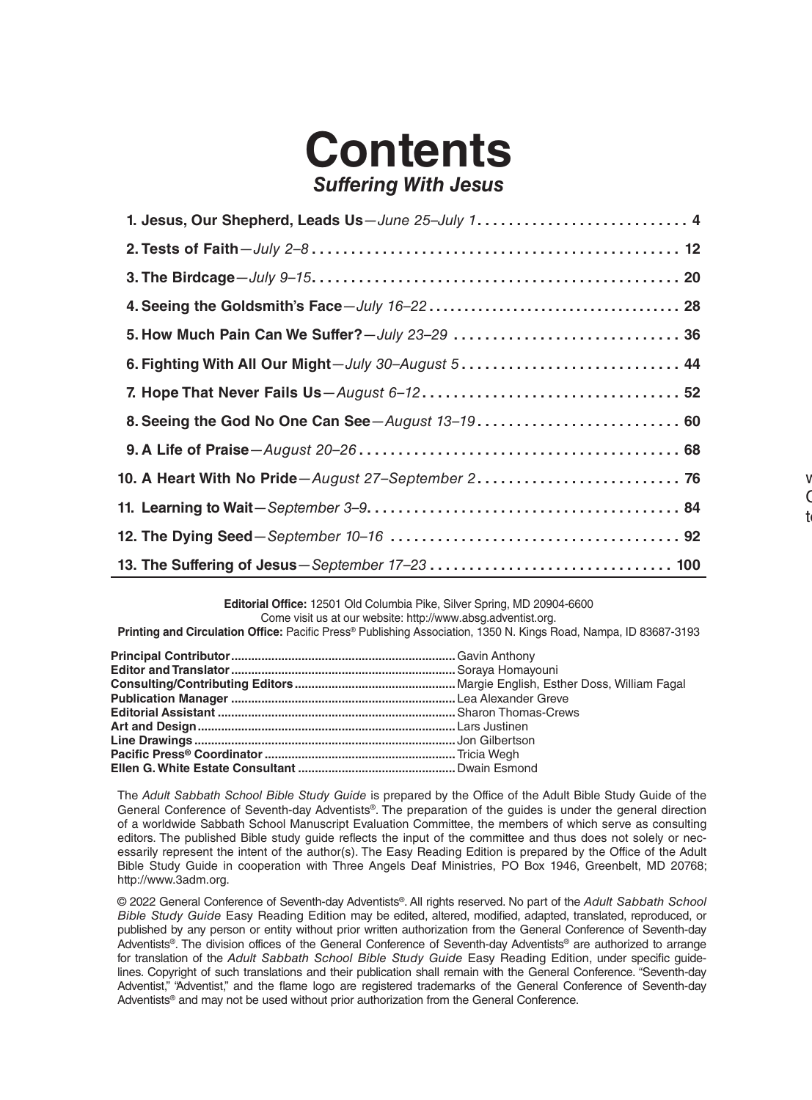## **Contents** *Suffering With Jesus*

## **Editorial Office:** 12501 Old Columbia Pike, Silver Spring, MD 20904-6600 Come visit us at our website: http://www.absg.adventist.org.

**Printing and Circulation Office:** Pacific Press® Publishing Association, 1350 N. Kings Road, Nampa, ID 83687-3193

The *Adult Sabbath School Bible Study Guide* is prepared by the Office of the Adult Bible Study Guide of the General Conference of Seventh-day Adventists®. The preparation of the guides is under the general direction of a worldwide Sabbath School Manuscript Evaluation Committee, the members of which serve as consulting editors. The published Bible study guide reflects the input of the committee and thus does not solely or necessarily represent the intent of the author(s). The Easy Reading Edition is prepared by the Office of the Adult Bible Study Guide in cooperation with Three Angels Deaf Ministries, PO Box 1946, Greenbelt, MD 20768; http://www.3adm.org.

© 2022 General Conference of Seventh-day Adventists®. All rights reserved. No part of the *Adult Sabbath School Bible Study Guide* Easy Reading Edition may be edited, altered, modified, adapted, translated, reproduced, or published by any person or entity without prior written authorization from the General Conference of Seventh-day Adventists®. The division offices of the General Conference of Seventh-day Adventists® are authorized to arrange for translation of the *Adult Sabbath School Bible Study Guide* Easy Reading Edition, under specific guidelines. Copyright of such translations and their publication shall remain with the General Conference. "Seventh-day Adventist," "Adventist," and the flame logo are registered trademarks of the General Conference of Seventh-day Adventists® and may not be used without prior authorization from the General Conference.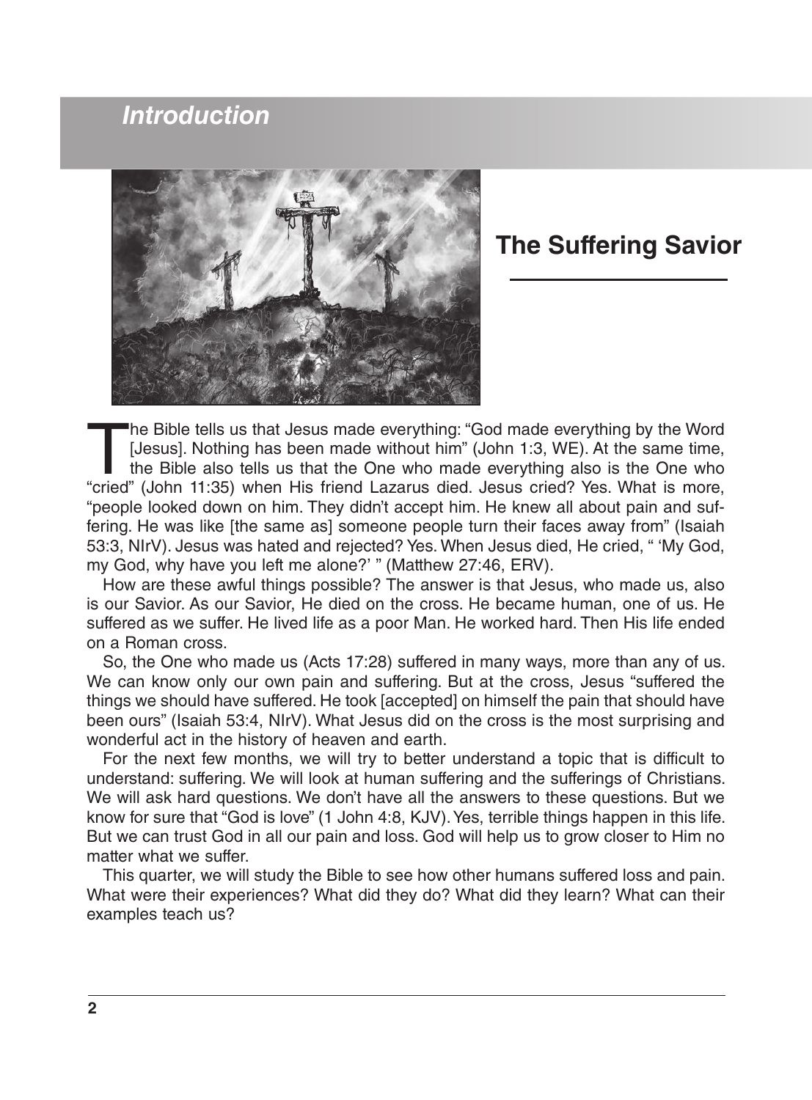## *Introduction*



## **The Suffering Savior**

The Bible tells us that Jesus made everything: "God made everything by the Word<br>[Jesus]. Nothing has been made without him" (John 1:3, WE). At the same time,<br>the Bible also tells us that the One who made everything also is [Jesus]. Nothing has been made without him" (John 1:3, WE). At the same time, the Bible also tells us that the One who made everything also is the One who "cried" (John 11:35) when His friend Lazarus died. Jesus cried? Yes. What is more, "people looked down on him. They didn't accept him. He knew all about pain and suffering. He was like [the same as] someone people turn their faces away from" (Isaiah 53:3, NIrV). Jesus was hated and rejected? Yes. When Jesus died, He cried, " 'My God, my God, why have you left me alone?' " (Matthew 27:46, ERV).

How are these awful things possible? The answer is that Jesus, who made us, also is our Savior. As our Savior, He died on the cross. He became human, one of us. He suffered as we suffer. He lived life as a poor Man. He worked hard. Then His life ended on a Roman cross.

So, the One who made us (Acts 17:28) suffered in many ways, more than any of us. We can know only our own pain and suffering. But at the cross, Jesus "suffered the things we should have suffered. He took [accepted] on himself the pain that should have been ours" (Isaiah 53:4, NIrV). What Jesus did on the cross is the most surprising and wonderful act in the history of heaven and earth.

For the next few months, we will try to better understand a topic that is difficult to understand: suffering. We will look at human suffering and the sufferings of Christians. We will ask hard questions. We don't have all the answers to these questions. But we know for sure that "God is love" (1 John 4:8, KJV). Yes, terrible things happen in this life. But we can trust God in all our pain and loss. God will help us to grow closer to Him no matter what we suffer.

This quarter, we will study the Bible to see how other humans suffered loss and pain. What were their experiences? What did they do? What did they learn? What can their examples teach us?